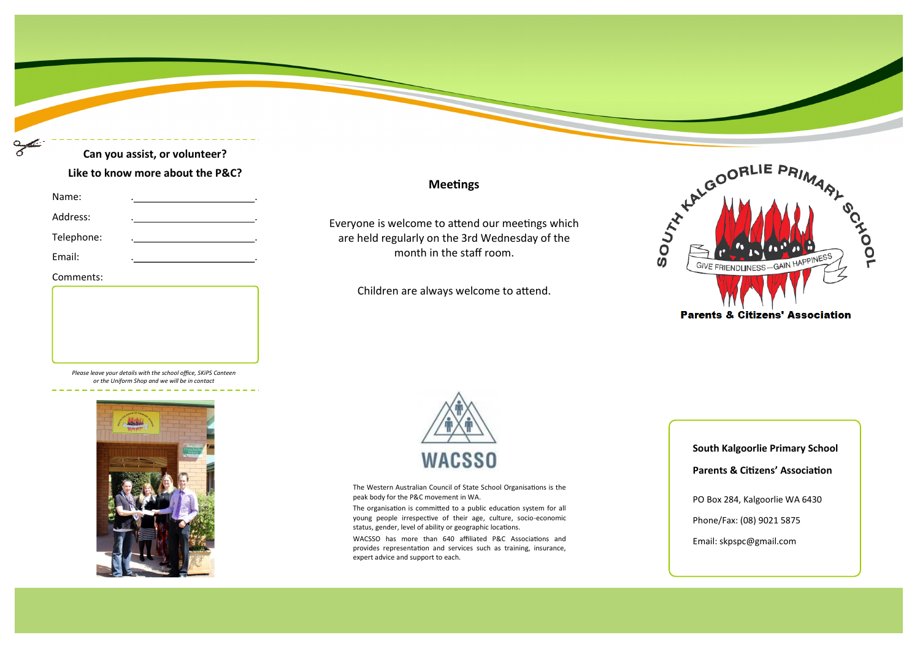# **Can you assist, or volunteer? Like to know more about the P&C?**

| Name: |  |
|-------|--|
|       |  |

- Address:
- Telephone:

Email:

#### Comments:





## **Meetings**

Everyone is welcome to attend our meetings which are held regularly on the 3rd Wednesday of the month in the staff room.

Children are always welcome to attend.





The Western Australian Council of State School Organisations is the peak body for the P&C movement in WA.

The organisation is committed to a public education system for all young people irrespective of their age, culture, socio-economic status, gender, level of ability or geographic locations.

WACSSO has more than 640 affiliated P&C Associations and provides representation and services such as training, insurance, expert advice and support to each.

**South Kalgoorlie Primary School Parents & Citizens' Association**

PO Box 284, Kalgoorlie WA 6430

Phone/Fax: (08) 9021 5875

Email: skpspc@gmail.com